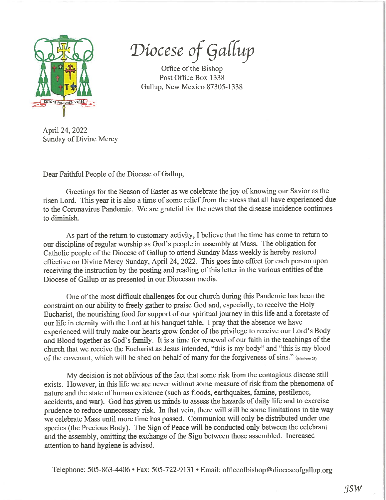

Diocese of Gallup

Office of the Bishop Post Office Box 1338 Gallup, New Mexico 87305-1338

April 24, 2022 Sunday of Divine Mercy

Dear Faithful People of the Diocese of Gallup,

Greetings for the Season of Easter as we celebrate the joy of knowing our Savior as the risen Lord. This year it is also <sup>a</sup> time of some relief from the stress that all have experienced due to the Coronavirus Pandemic. We are grateful for the news that the disease incidence continues to diminish.

As part of the return to customary activity, I believe that the time has come to return to our discipline ofregular worship as God's people in assembly at Mass. The obligation for Catholic people of the Diocese of Gallup to attend Sunday Mass weekly is hereby restored effective on Divine Mercy Sunday, April 24, 2022. This goes into effect for each person upon receiving the instruction by the posting and reading of this letter in the various entities of the Diocese of Gallup or as presented in our Diocesan media.

One of the most difficult challenges for our church during this Pandemic has been the constraint on our ability to freely gather to praise God and, especially, to receive the Holy Eucharist, the nourishing food for suppor<sup>t</sup> of our spiritual journey in this life and <sup>a</sup> foretaste of our life in eternity with the Lord at his banquet table. <sup>I</sup> pray that the absence we have experienced will truly make our hearts grow fonder of the privilege to receive our Lord's Body and Blood together as God's family. It is <sup>a</sup> time for renewal of our faith in the teachings of the church that we receive the Eucharist as Jesus intended, "this is my body" and "this is my blood of the covenant, which will be shed on behalf of many for the forgiveness of sins." (Matthew 26)

My decision is not oblivious of the fact that some risk from the contagious disease still exists. However, in this life we are never without some measure of risk from the phenomena of nature and the state of human existence (such as floods, earthquakes, famine, pestilence, accidents, and war). God has <sup>g</sup>iven us minds to assess the hazards of daily life and to exercise prudence to reduce unnecessary risk. In that vein, there will still be some limitations in the way we celebrate Mass until more time has passed. Communion will only be distributed under one species (the Precious Body). The Sign of Peace will be conducted only between the celebrant and the assembly, omitting the exchange of the Sign between those assembled. Increased attention to hand hygiene is advised.

Telephone: 505-863-4406 • Fax: 505-722-9131 • Email: officeofbishop@dioceseofgallup.org